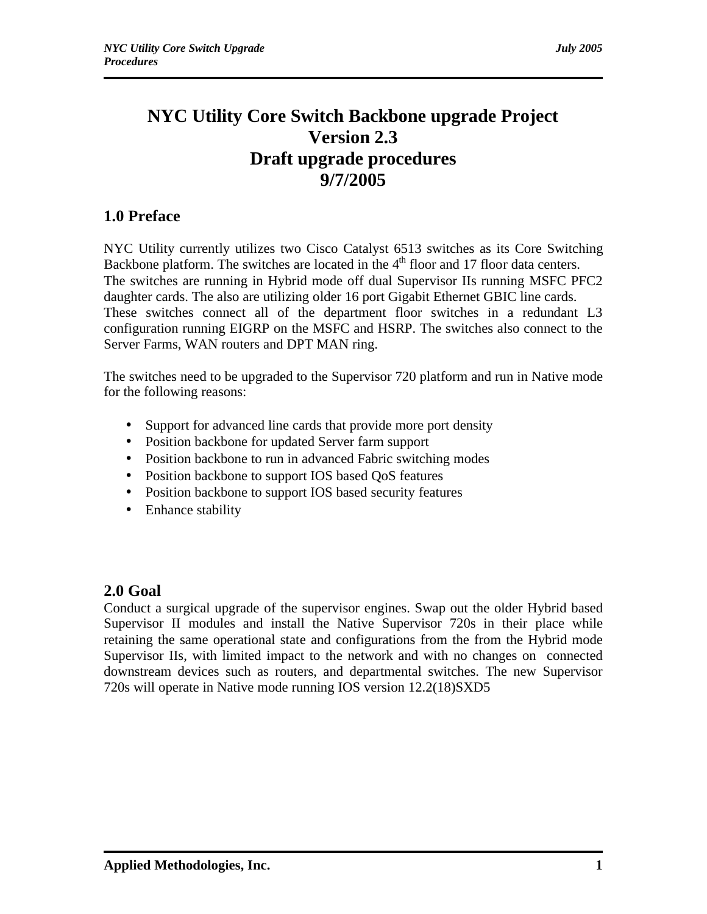# **NYC Utility Core Switch Backbone upgrade Project Version 2.3 Draft upgrade procedures 9/7/2005**

# **1.0 Preface**

NYC Utility currently utilizes two Cisco Catalyst 6513 switches as its Core Switching Backbone platform. The switches are located in the  $4<sup>th</sup>$  floor and 17 floor data centers. The switches are running in Hybrid mode off dual Supervisor IIs running MSFC PFC2 daughter cards. The also are utilizing older 16 port Gigabit Ethernet GBIC line cards. These switches connect all of the department floor switches in a redundant L3 configuration running EIGRP on the MSFC and HSRP. The switches also connect to the Server Farms, WAN routers and DPT MAN ring.

The switches need to be upgraded to the Supervisor 720 platform and run in Native mode for the following reasons:

- Support for advanced line cards that provide more port density
- Position backbone for updated Server farm support
- Position backbone to run in advanced Fabric switching modes
- Position backbone to support IOS based QoS features
- Position backbone to support IOS based security features
- Enhance stability

# **2.0 Goal**

Conduct a surgical upgrade of the supervisor engines. Swap out the older Hybrid based Supervisor II modules and install the Native Supervisor 720s in their place while retaining the same operational state and configurations from the from the Hybrid mode Supervisor IIs, with limited impact to the network and with no changes on connected downstream devices such as routers, and departmental switches. The new Supervisor 720s will operate in Native mode running IOS version 12.2(18)SXD5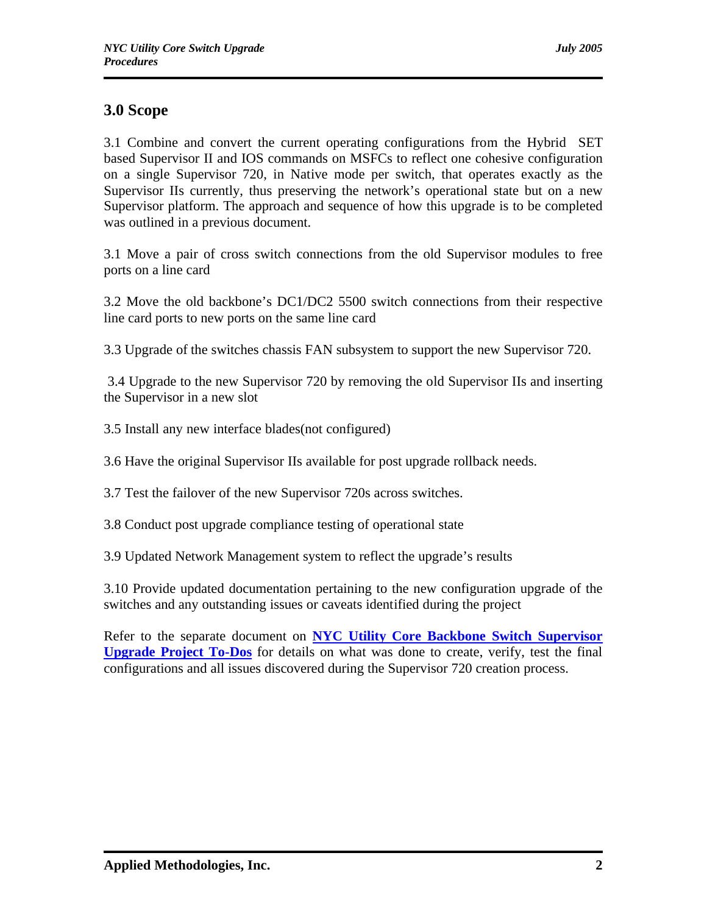# **3.0 Scope**

3.1 Combine and convert the current operating configurations from the Hybrid SET based Supervisor II and IOS commands on MSFCs to reflect one cohesive configuration on a single Supervisor 720, in Native mode per switch, that operates exactly as the Supervisor IIs currently, thus preserving the network's operational state but on a new Supervisor platform. The approach and sequence of how this upgrade is to be completed was outlined in a previous document.

3.1 Move a pair of cross switch connections from the old Supervisor modules to free ports on a line card

3.2 Move the old backbone's DC1/DC2 5500 switch connections from their respective line card ports to new ports on the same line card

3.3 Upgrade of the switches chassis FAN subsystem to support the new Supervisor 720.

 3.4 Upgrade to the new Supervisor 720 by removing the old Supervisor IIs and inserting the Supervisor in a new slot

3.5 Install any new interface blades(not configured)

3.6 Have the original Supervisor IIs available for post upgrade rollback needs.

3.7 Test the failover of the new Supervisor 720s across switches.

3.8 Conduct post upgrade compliance testing of operational state

3.9 Updated Network Management system to reflect the upgrade's results

3.10 Provide updated documentation pertaining to the new configuration upgrade of the switches and any outstanding issues or caveats identified during the project

Refer to the separate document on **NYC Utility Core Backbone Switch Supervisor Upgrade Project To-Dos** for details on what was done to create, verify, test the final configurations and all issues discovered during the Supervisor 720 creation process.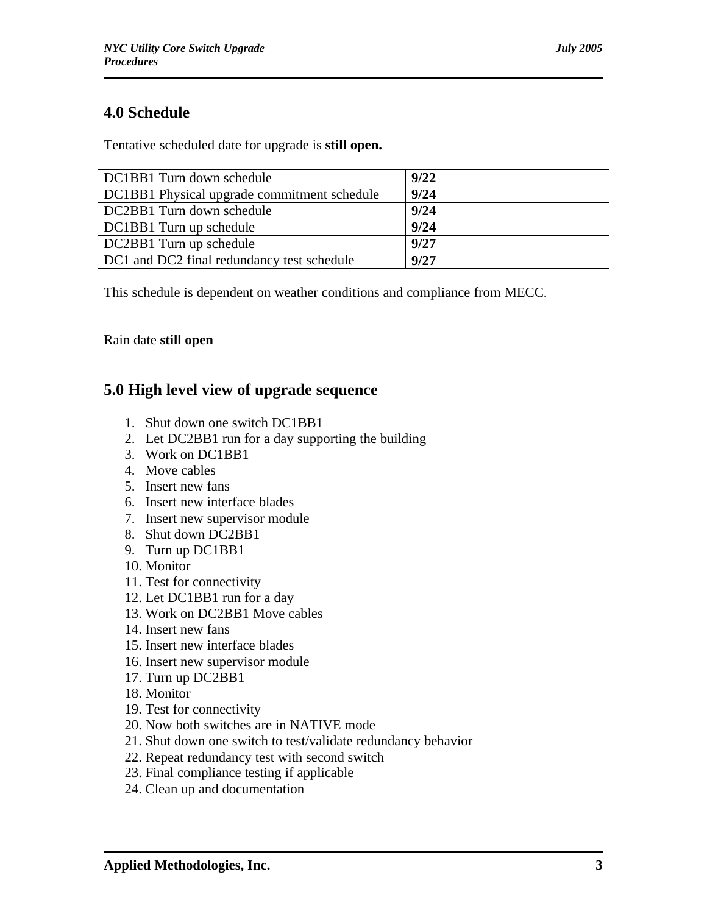# **4.0 Schedule**

Tentative scheduled date for upgrade is **still open.**

| DC1BB1 Turn down schedule                   | 9/22 |
|---------------------------------------------|------|
| DC1BB1 Physical upgrade commitment schedule | 9/24 |
| DC2BB1 Turn down schedule                   | 9/24 |
| DC1BB1 Turn up schedule                     | 9/24 |
| DC2BB1 Turn up schedule                     | 9/27 |
| DC1 and DC2 final redundancy test schedule  | 9/27 |

This schedule is dependent on weather conditions and compliance from MECC.

## Rain date **still open**

# **5.0 High level view of upgrade sequence**

- 1. Shut down one switch DC1BB1
- 2. Let DC2BB1 run for a day supporting the building
- 3. Work on DC1BB1
- 4. Move cables
- 5. Insert new fans
- 6. Insert new interface blades
- 7. Insert new supervisor module
- 8. Shut down DC2BB1
- 9. Turn up DC1BB1
- 10. Monitor
- 11. Test for connectivity
- 12. Let DC1BB1 run for a day
- 13. Work on DC2BB1 Move cables
- 14. Insert new fans
- 15. Insert new interface blades
- 16. Insert new supervisor module
- 17. Turn up DC2BB1
- 18. Monitor
- 19. Test for connectivity
- 20. Now both switches are in NATIVE mode
- 21. Shut down one switch to test/validate redundancy behavior
- 22. Repeat redundancy test with second switch
- 23. Final compliance testing if applicable
- 24. Clean up and documentation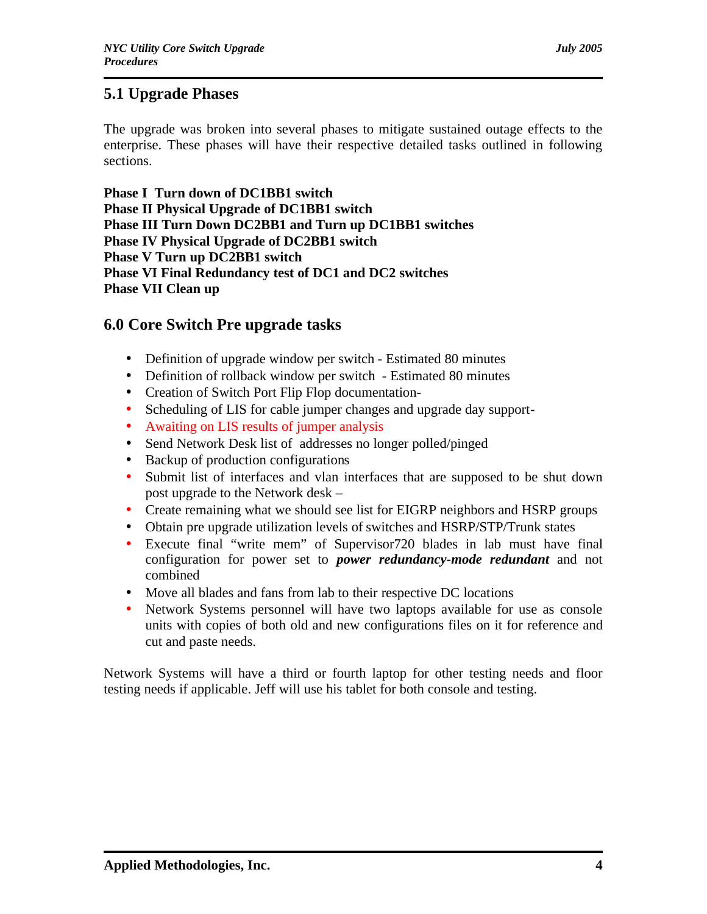# **5.1 Upgrade Phases**

The upgrade was broken into several phases to mitigate sustained outage effects to the enterprise. These phases will have their respective detailed tasks outlined in following sections.

**Phase I Turn down of DC1BB1 switch Phase II Physical Upgrade of DC1BB1 switch Phase III Turn Down DC2BB1 and Turn up DC1BB1 switches Phase IV Physical Upgrade of DC2BB1 switch Phase V Turn up DC2BB1 switch Phase VI Final Redundancy test of DC1 and DC2 switches Phase VII Clean up**

## **6.0 Core Switch Pre upgrade tasks**

- Definition of upgrade window per switch Estimated 80 minutes
- Definition of rollback window per switch Estimated 80 minutes
- Creation of Switch Port Flip Flop documentation-
- Scheduling of LIS for cable jumper changes and upgrade day support-
- Awaiting on LIS results of jumper analysis
- Send Network Desk list of addresses no longer polled/pinged
- Backup of production configurations
- Submit list of interfaces and vlan interfaces that are supposed to be shut down post upgrade to the Network desk –
- Create remaining what we should see list for EIGRP neighbors and HSRP groups
- Obtain pre upgrade utilization levels of switches and HSRP/STP/Trunk states
- Execute final "write mem" of Supervisor720 blades in lab must have final configuration for power set to *power redundancy-mode redundant* and not combined
- Move all blades and fans from lab to their respective DC locations
- Network Systems personnel will have two laptops available for use as console units with copies of both old and new configurations files on it for reference and cut and paste needs.

Network Systems will have a third or fourth laptop for other testing needs and floor testing needs if applicable. Jeff will use his tablet for both console and testing.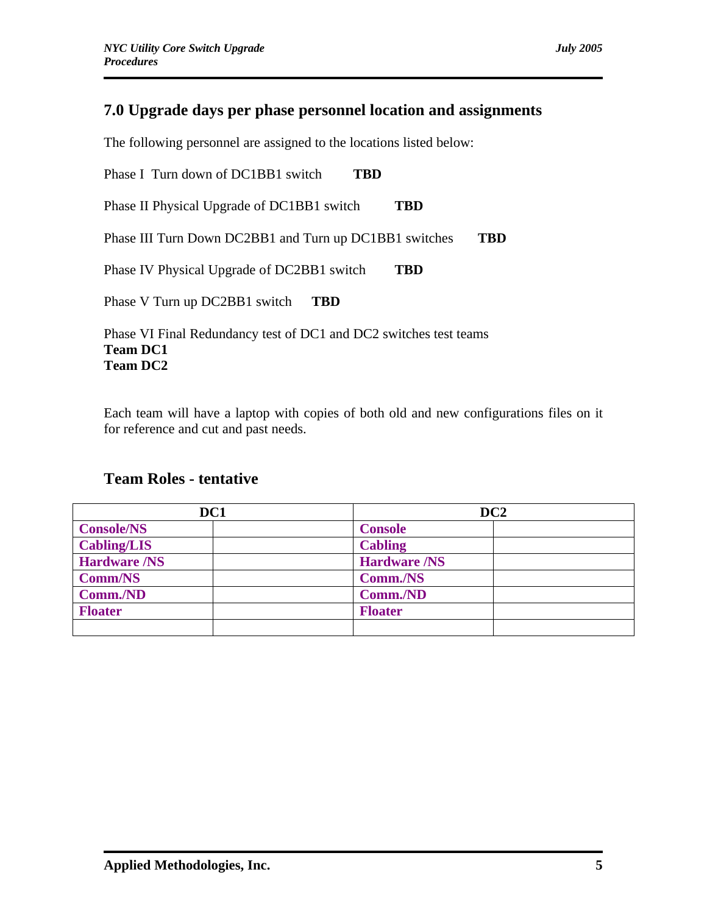# **7.0 Upgrade days per phase personnel location and assignments**

The following personnel are assigned to the locations listed below:

Phase I Turn down of DC1BB1 switch **TBD** Phase II Physical Upgrade of DC1BB1 switch **TBD** Phase III Turn Down DC2BB1 and Turn up DC1BB1 switches **TBD** Phase IV Physical Upgrade of DC2BB1 switch **TBD** Phase V Turn up DC2BB1 switch **TBD**

Phase VI Final Redundancy test of DC1 and DC2 switches test teams **Team DC1 Team DC2**

Each team will have a laptop with copies of both old and new configurations files on it for reference and cut and past needs.

# **Team Roles - tentative**

| DC1                 | DC <sub>2</sub>     |  |
|---------------------|---------------------|--|
| <b>Console/NS</b>   | <b>Console</b>      |  |
| <b>Cabling/LIS</b>  | <b>Cabling</b>      |  |
| <b>Hardware /NS</b> | <b>Hardware /NS</b> |  |
| <b>Comm/NS</b>      | Comm./NS            |  |
| Comm./ND            | Comm./ND            |  |
| <b>Floater</b>      | <b>Floater</b>      |  |
|                     |                     |  |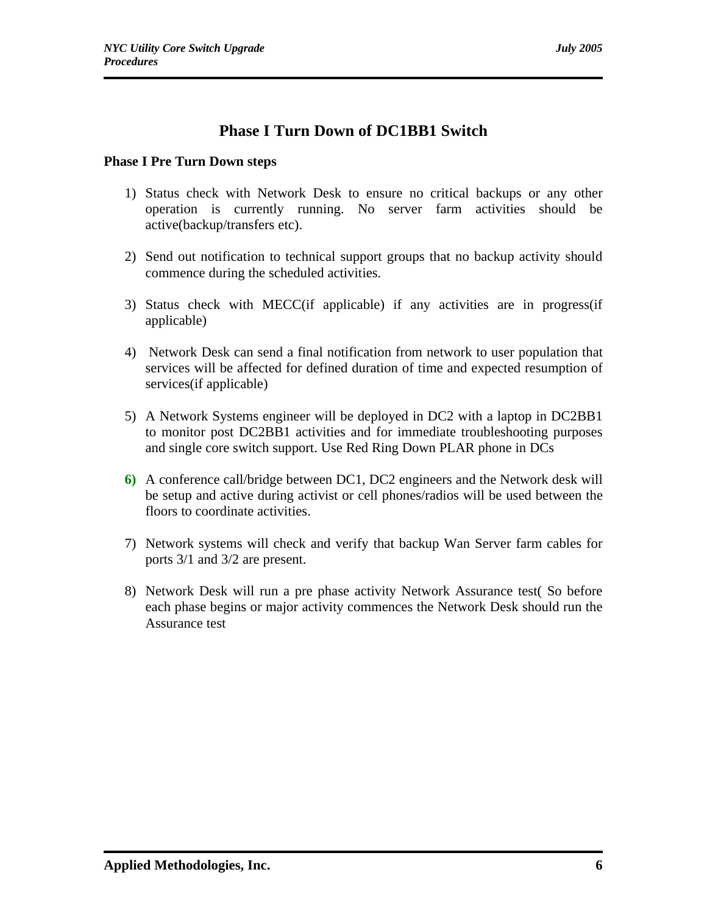# **Phase I Turn Down of DC1BB1 Switch**

## **Phase I Pre Turn Down steps**

- 1) Status check with Network Desk to ensure no critical backups or any other operation is currently running. No server farm activities should be active(backup/transfers etc).
- 2) Send out notification to technical support groups that no backup activity should commence during the scheduled activities.
- 3) Status check with MECC(if applicable) if any activities are in progress(if applicable)
- 4) Network Desk can send a final notification from network to user population that services will be affected for defined duration of time and expected resumption of services(if applicable)
- 5) A Network Systems engineer will be deployed in DC2 with a laptop in DC2BB1 to monitor post DC2BB1 activities and for immediate troubleshooting purposes and single core switch support. Use Red Ring Down PLAR phone in DCs
- **6)** A conference call/bridge between DC1, DC2 engineers and the Network desk will be setup and active during activist or cell phones/radios will be used between the floors to coordinate activities.
- 7) Network systems will check and verify that backup Wan Server farm cables for ports 3/1 and 3/2 are present.
- 8) Network Desk will run a pre phase activity Network Assurance test( So before each phase begins or major activity commences the Network Desk should run the Assurance test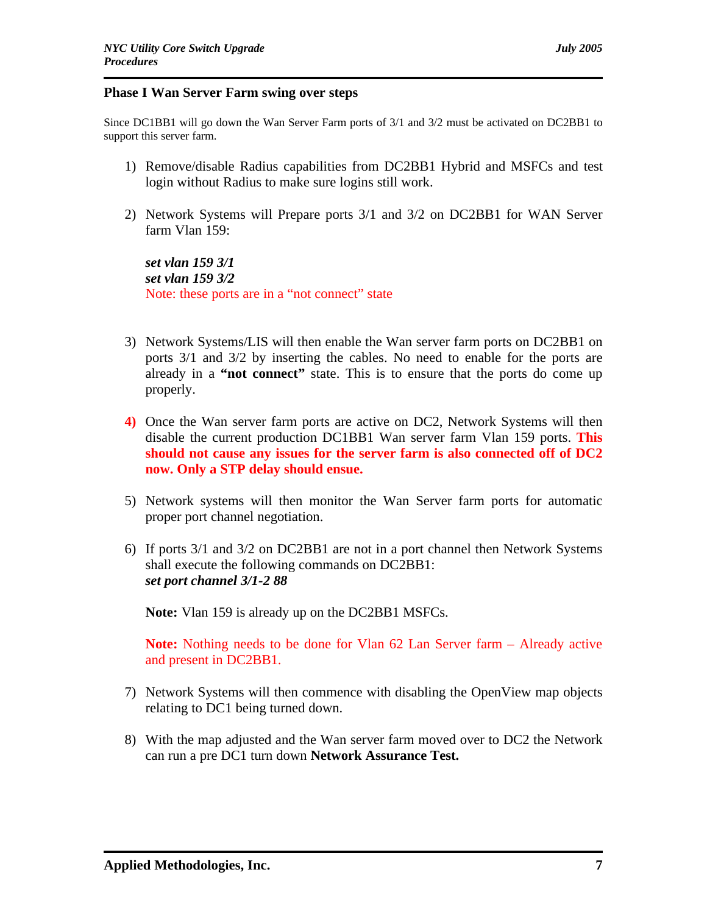#### **Phase I Wan Server Farm swing over steps**

Since DC1BB1 will go down the Wan Server Farm ports of 3/1 and 3/2 must be activated on DC2BB1 to support this server farm.

- 1) Remove/disable Radius capabilities from DC2BB1 Hybrid and MSFCs and test login without Radius to make sure logins still work.
- 2) Network Systems will Prepare ports 3/1 and 3/2 on DC2BB1 for WAN Server farm Vlan 159:

*set vlan 159 3/1 set vlan 159 3/2* Note: these ports are in a "not connect" state

- 3) Network Systems/LIS will then enable the Wan server farm ports on DC2BB1 on ports 3/1 and 3/2 by inserting the cables. No need to enable for the ports are already in a **"not connect"** state. This is to ensure that the ports do come up properly.
- **4)** Once the Wan server farm ports are active on DC2, Network Systems will then disable the current production DC1BB1 Wan server farm Vlan 159 ports. **This should not cause any issues for the server farm is also connected off of DC2 now. Only a STP delay should ensue.**
- 5) Network systems will then monitor the Wan Server farm ports for automatic proper port channel negotiation.
- 6) If ports 3/1 and 3/2 on DC2BB1 are not in a port channel then Network Systems shall execute the following commands on DC2BB1: *set port channel 3/1-2 88*

**Note:** Vlan 159 is already up on the DC2BB1 MSFCs.

**Note:** Nothing needs to be done for Vlan 62 Lan Server farm – Already active and present in DC2BB1.

- 7) Network Systems will then commence with disabling the OpenView map objects relating to DC1 being turned down.
- 8) With the map adjusted and the Wan server farm moved over to DC2 the Network can run a pre DC1 turn down **Network Assurance Test.**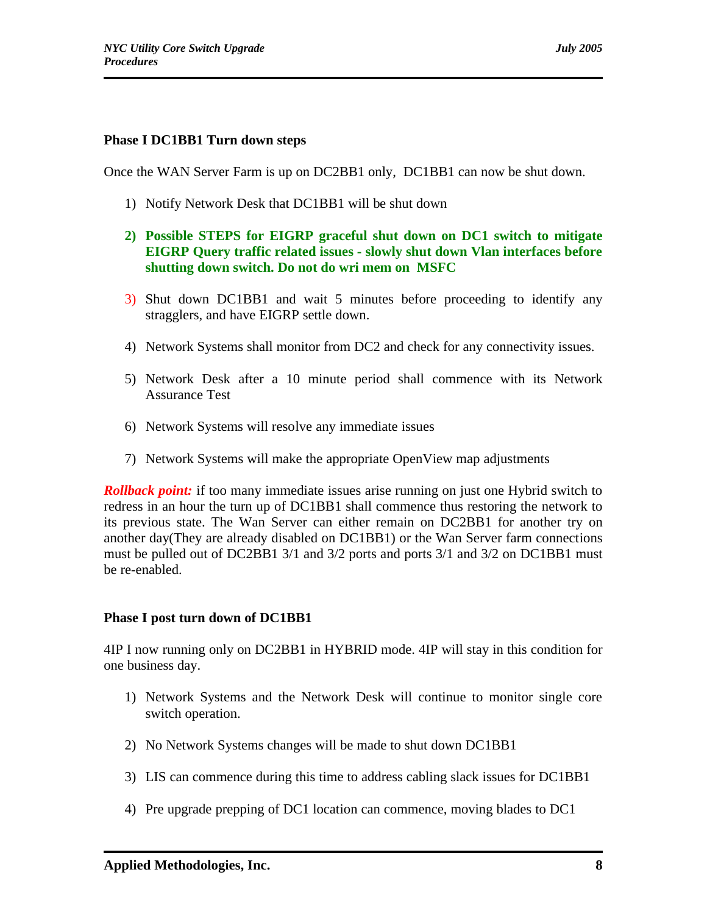### **Phase I DC1BB1 Turn down steps**

Once the WAN Server Farm is up on DC2BB1 only, DC1BB1 can now be shut down.

- 1) Notify Network Desk that DC1BB1 will be shut down
- **2) Possible STEPS for EIGRP graceful shut down on DC1 switch to mitigate EIGRP Query traffic related issues - slowly shut down Vlan interfaces before shutting down switch. Do not do wri mem on MSFC**
- 3) Shut down DC1BB1 and wait 5 minutes before proceeding to identify any stragglers, and have EIGRP settle down.
- 4) Network Systems shall monitor from DC2 and check for any connectivity issues.
- 5) Network Desk after a 10 minute period shall commence with its Network Assurance Test
- 6) Network Systems will resolve any immediate issues
- 7) Network Systems will make the appropriate OpenView map adjustments

*Rollback point:* if too many immediate issues arise running on just one Hybrid switch to redress in an hour the turn up of DC1BB1 shall commence thus restoring the network to its previous state. The Wan Server can either remain on DC2BB1 for another try on another day(They are already disabled on DC1BB1) or the Wan Server farm connections must be pulled out of DC2BB1 3/1 and 3/2 ports and ports 3/1 and 3/2 on DC1BB1 must be re-enabled.

#### **Phase I post turn down of DC1BB1**

4IP I now running only on DC2BB1 in HYBRID mode. 4IP will stay in this condition for one business day.

- 1) Network Systems and the Network Desk will continue to monitor single core switch operation.
- 2) No Network Systems changes will be made to shut down DC1BB1
- 3) LIS can commence during this time to address cabling slack issues for DC1BB1
- 4) Pre upgrade prepping of DC1 location can commence, moving blades to DC1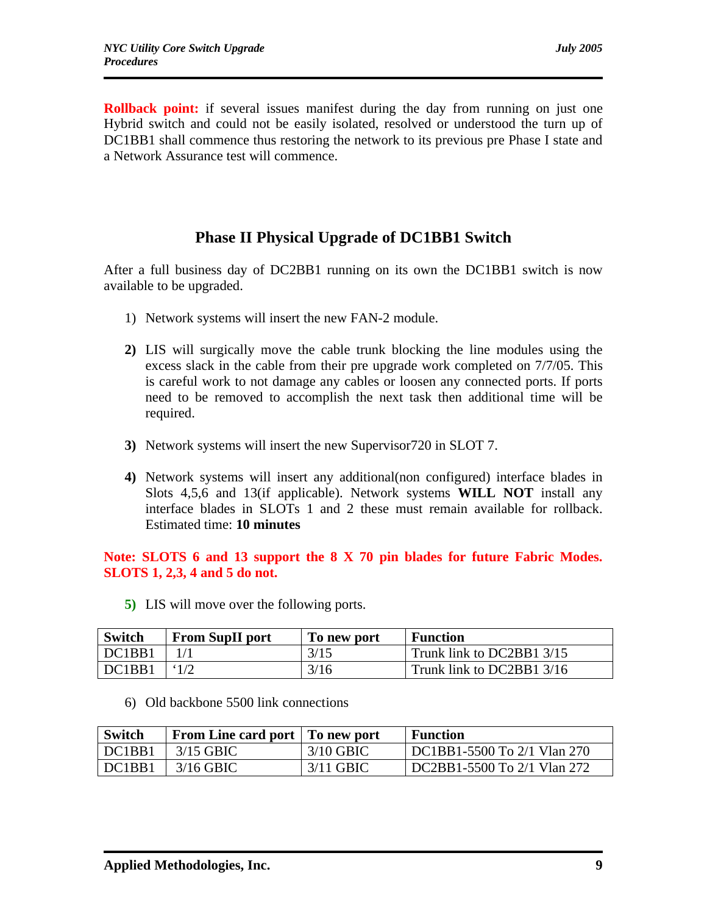**Rollback point:** if several issues manifest during the day from running on just one Hybrid switch and could not be easily isolated, resolved or understood the turn up of DC1BB1 shall commence thus restoring the network to its previous pre Phase I state and a Network Assurance test will commence.

# **Phase II Physical Upgrade of DC1BB1 Switch**

After a full business day of DC2BB1 running on its own the DC1BB1 switch is now available to be upgraded.

- 1) Network systems will insert the new FAN-2 module.
- **2)** LIS will surgically move the cable trunk blocking the line modules using the excess slack in the cable from their pre upgrade work completed on 7/7/05. This is careful work to not damage any cables or loosen any connected ports. If ports need to be removed to accomplish the next task then additional time will be required.
- **3)** Network systems will insert the new Supervisor720 in SLOT 7.
- **4)** Network systems will insert any additional(non configured) interface blades in Slots 4,5,6 and 13(if applicable). Network systems **WILL NOT** install any interface blades in SLOTs 1 and 2 these must remain available for rollback. Estimated time: **10 minutes**

## **Note: SLOTS 6 and 13 support the 8 X 70 pin blades for future Fabric Modes. SLOTS 1, 2,3, 4 and 5 do not.**

**5)** LIS will move over the following ports.

| <b>Switch</b> | <b>From SupII port</b> | To new port | <b>Function</b>           |
|---------------|------------------------|-------------|---------------------------|
| DC1BB1        |                        | 3/15        | Trunk link to DC2BB1 3/15 |
| DC1BB1        |                        | 3/16        | Trunk link to DC2BB1 3/16 |

6) Old backbone 5500 link connections

| Switch | From Line card port   To new port |             | Function                    |
|--------|-----------------------------------|-------------|-----------------------------|
| DC1BB1 | - 3/15 GBIC -                     | $3/10$ GBIC | DC1BB1-5500 To 2/1 Vlan 270 |
| DC1BB1 | 3/16 GBIC                         | 3/11 GBIC   | DC2BB1-5500 To 2/1 Vlan 272 |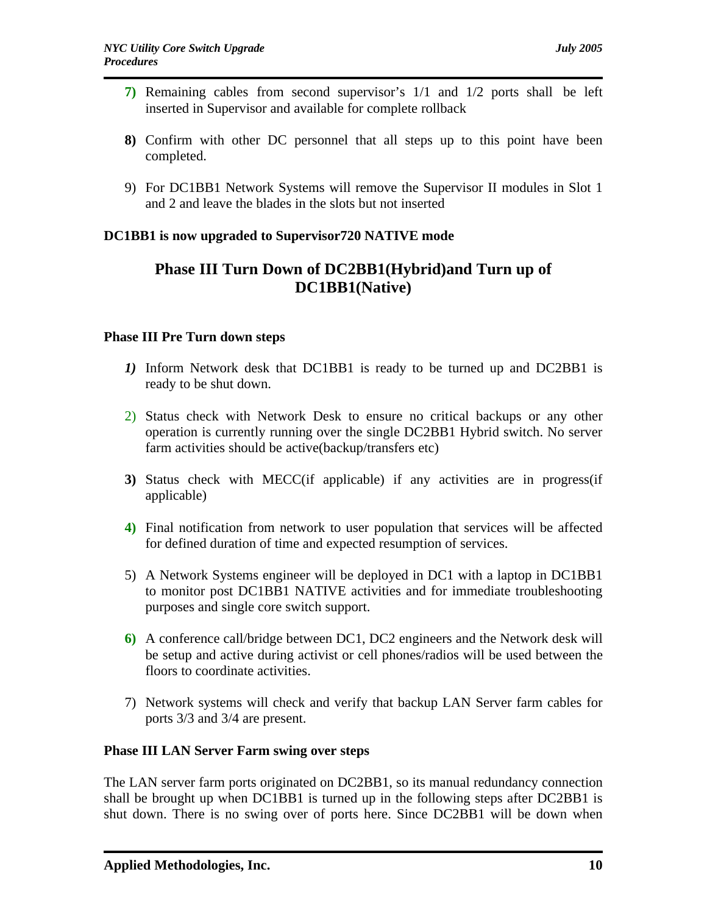- **7)** Remaining cables from second supervisor's 1/1 and 1/2 ports shall be left inserted in Supervisor and available for complete rollback
- **8)** Confirm with other DC personnel that all steps up to this point have been completed.
- 9) For DC1BB1 Network Systems will remove the Supervisor II modules in Slot 1 and 2 and leave the blades in the slots but not inserted

## **DC1BB1 is now upgraded to Supervisor720 NATIVE mode**

# **Phase III Turn Down of DC2BB1(Hybrid)and Turn up of DC1BB1(Native)**

### **Phase III Pre Turn down steps**

- *1)* Inform Network desk that DC1BB1 is ready to be turned up and DC2BB1 is ready to be shut down.
- 2) Status check with Network Desk to ensure no critical backups or any other operation is currently running over the single DC2BB1 Hybrid switch. No server farm activities should be active(backup/transfers etc)
- **3)** Status check with MECC(if applicable) if any activities are in progress(if applicable)
- **4)** Final notification from network to user population that services will be affected for defined duration of time and expected resumption of services.
- 5) A Network Systems engineer will be deployed in DC1 with a laptop in DC1BB1 to monitor post DC1BB1 NATIVE activities and for immediate troubleshooting purposes and single core switch support.
- **6)** A conference call/bridge between DC1, DC2 engineers and the Network desk will be setup and active during activist or cell phones/radios will be used between the floors to coordinate activities.
- 7) Network systems will check and verify that backup LAN Server farm cables for ports 3/3 and 3/4 are present.

## **Phase III LAN Server Farm swing over steps**

The LAN server farm ports originated on DC2BB1, so its manual redundancy connection shall be brought up when DC1BB1 is turned up in the following steps after DC2BB1 is shut down. There is no swing over of ports here. Since DC2BB1 will be down when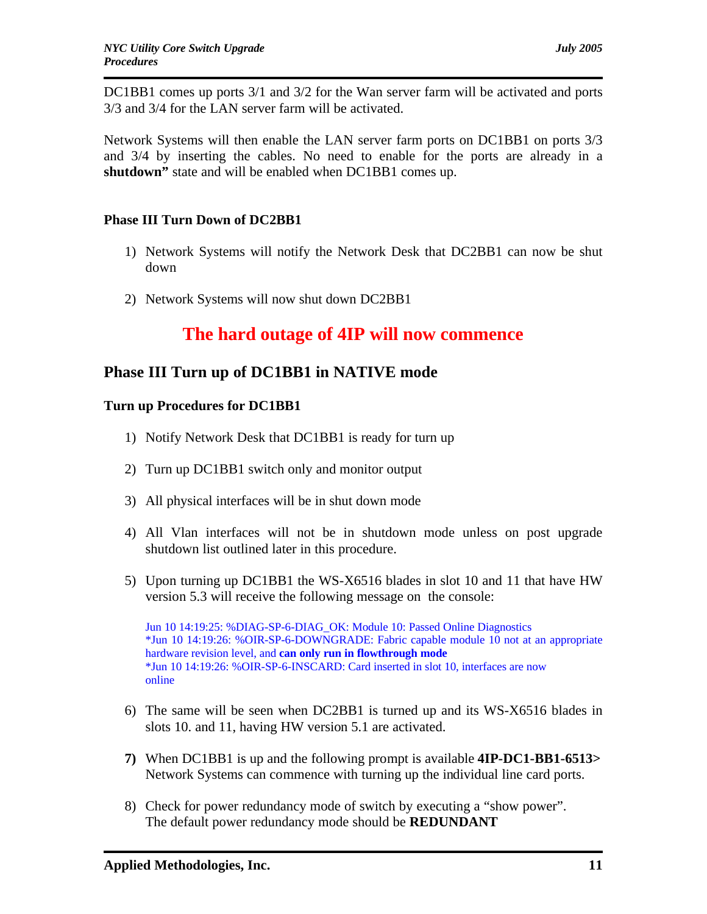DC1BB1 comes up ports 3/1 and 3/2 for the Wan server farm will be activated and ports 3/3 and 3/4 for the LAN server farm will be activated.

Network Systems will then enable the LAN server farm ports on DC1BB1 on ports 3/3 and 3/4 by inserting the cables. No need to enable for the ports are already in a **shutdown"** state and will be enabled when DC1BB1 comes up.

### **Phase III Turn Down of DC2BB1**

- 1) Network Systems will notify the Network Desk that DC2BB1 can now be shut down
- 2) Network Systems will now shut down DC2BB1

# **The hard outage of 4IP will now commence**

## **Phase III Turn up of DC1BB1 in NATIVE mode**

### **Turn up Procedures for DC1BB1**

- 1) Notify Network Desk that DC1BB1 is ready for turn up
- 2) Turn up DC1BB1 switch only and monitor output
- 3) All physical interfaces will be in shut down mode
- 4) All Vlan interfaces will not be in shutdown mode unless on post upgrade shutdown list outlined later in this procedure.
- 5) Upon turning up DC1BB1 the WS-X6516 blades in slot 10 and 11 that have HW version 5.3 will receive the following message on the console:

Jun 10 14:19:25: %DIAG-SP-6-DIAG\_OK: Module 10: Passed Online Diagnostics \*Jun 10 14:19:26: %OIR-SP-6-DOWNGRADE: Fabric capable module 10 not at an appropriate hardware revision level, and **can only run in flowthrough mode** \*Jun 10 14:19:26: %OIR-SP-6-INSCARD: Card inserted in slot 10, interfaces are now online

- 6) The same will be seen when DC2BB1 is turned up and its WS-X6516 blades in slots 10. and 11, having HW version 5.1 are activated.
- **7)** When DC1BB1 is up and the following prompt is available **4IP-DC1-BB1-6513>**  Network Systems can commence with turning up the individual line card ports.
- 8) Check for power redundancy mode of switch by executing a "show power". The default power redundancy mode should be **REDUNDANT**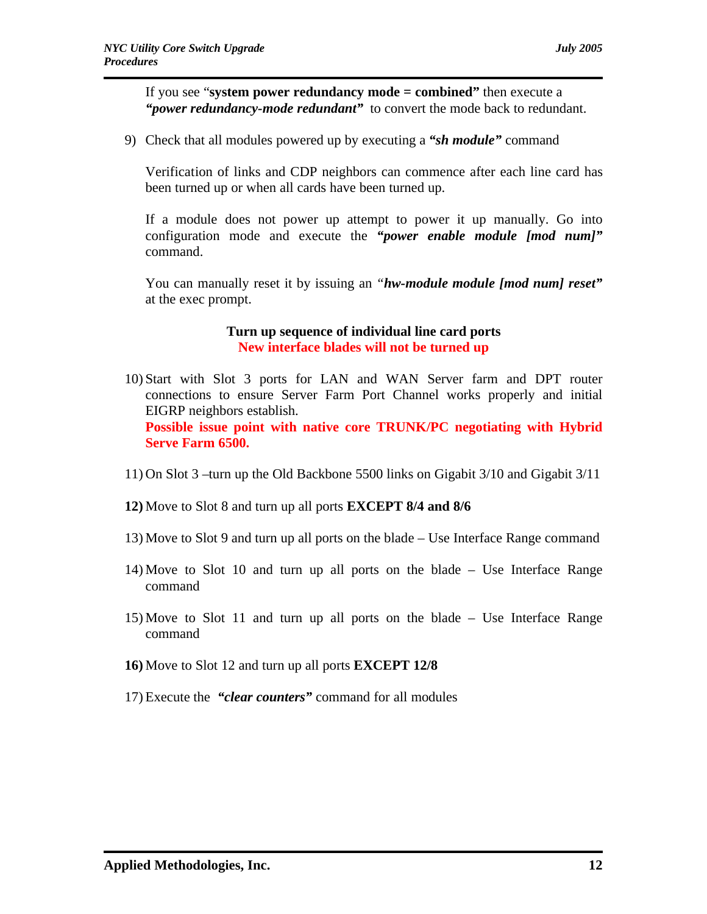If you see "**system power redundancy mode = combined"** then execute a *"power redundancy-mode redundant"* to convert the mode back to redundant.

9) Check that all modules powered up by executing a *"sh module"* command

Verification of links and CDP neighbors can commence after each line card has been turned up or when all cards have been turned up.

If a module does not power up attempt to power it up manually. Go into configuration mode and execute the *"power enable module [mod num]"*  command.

You can manually reset it by issuing an *"hw-module module [mod num] reset"*  at the exec prompt.

### **Turn up sequence of individual line card ports New interface blades will not be turned up**

- 10) Start with Slot 3 ports for LAN and WAN Server farm and DPT router connections to ensure Server Farm Port Channel works properly and initial EIGRP neighbors establish. **Possible issue point with native core TRUNK/PC negotiating with Hybrid Serve Farm 6500.**
- 11) On Slot 3 –turn up the Old Backbone 5500 links on Gigabit 3/10 and Gigabit 3/11
- **12)** Move to Slot 8 and turn up all ports **EXCEPT 8/4 and 8/6**
- 13) Move to Slot 9 and turn up all ports on the blade Use Interface Range command
- 14) Move to Slot 10 and turn up all ports on the blade Use Interface Range command
- 15) Move to Slot 11 and turn up all ports on the blade Use Interface Range command
- **16)** Move to Slot 12 and turn up all ports **EXCEPT 12/8**
- 17) Execute the *"clear counters"* command for all modules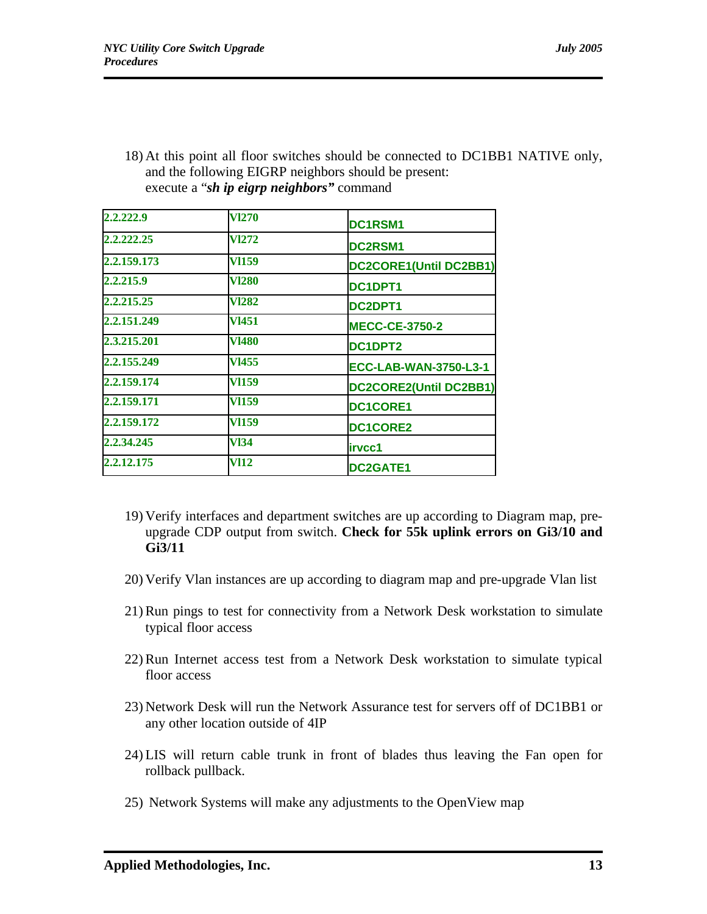18) At this point all floor switches should be connected to DC1BB1 NATIVE only, and the following EIGRP neighbors should be present: execute a "*sh ip eigrp neighbors"* command

| 2.2.222.9   | <b>V1270</b> | DC1RSM1                      |
|-------------|--------------|------------------------------|
| 2.2.222.25  | <b>V1272</b> | DC2RSM1                      |
| 2.2.159.173 | VI159        | DC2CORE1(Until DC2BB1)       |
| 2.2.215.9   | <b>V1280</b> | DC1DPT1                      |
| 2.2.215.25  | <b>VI282</b> | DC2DPT1                      |
| 2.2.151.249 | <b>V1451</b> | <b>MECC-CE-3750-2</b>        |
| 2.3.215.201 | <b>V1480</b> | DC1DPT2                      |
| 2.2.155.249 | <b>VI455</b> | <b>ECC-LAB-WAN-3750-L3-1</b> |
| 2.2.159.174 | <b>VI159</b> | DC2CORE2(Until DC2BB1)       |
| 2.2.159.171 | <b>VI159</b> | <b>DC1CORE1</b>              |
| 2.2.159.172 | <b>VI159</b> | <b>DC1CORE2</b>              |
| 2.2.34.245  | <b>V134</b>  | irvcc1                       |
| 2.2.12.175  | VI12         | <b>DC2GATE1</b>              |

- 19) Verify interfaces and department switches are up according to Diagram map, preupgrade CDP output from switch. **Check for 55k uplink errors on Gi3/10 and Gi3/11**
- 20) Verify Vlan instances are up according to diagram map and pre-upgrade Vlan list
- 21) Run pings to test for connectivity from a Network Desk workstation to simulate typical floor access
- 22) Run Internet access test from a Network Desk workstation to simulate typical floor access
- 23) Network Desk will run the Network Assurance test for servers off of DC1BB1 or any other location outside of 4IP
- 24) LIS will return cable trunk in front of blades thus leaving the Fan open for rollback pullback.
- 25) Network Systems will make any adjustments to the OpenView map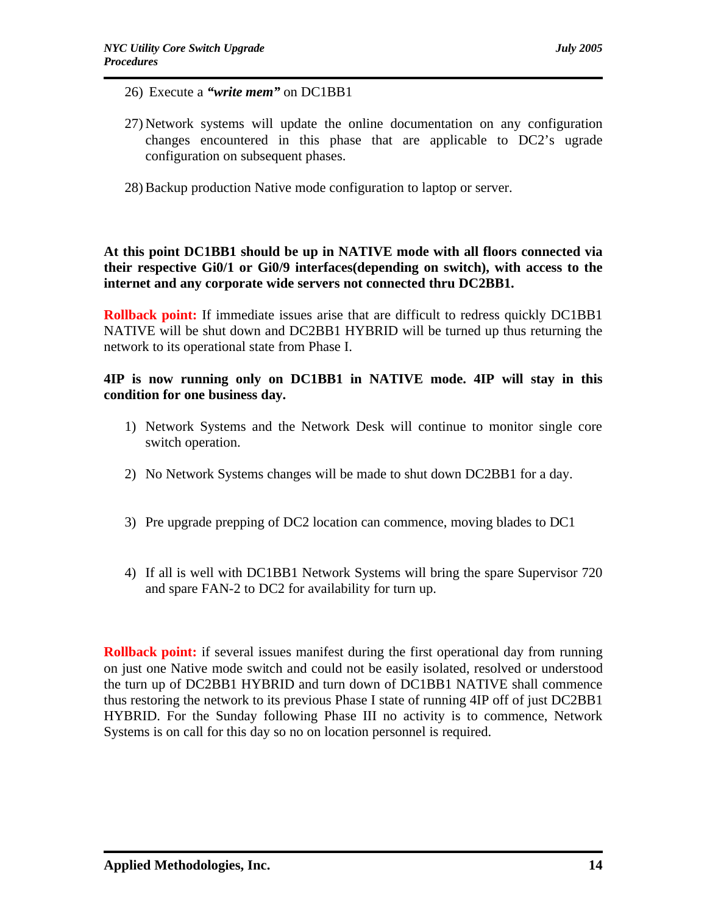- 26) Execute a *"write mem"* on DC1BB1
- 27) Network systems will update the online documentation on any configuration changes encountered in this phase that are applicable to DC2's ugrade configuration on subsequent phases.
- 28) Backup production Native mode configuration to laptop or server.

**At this point DC1BB1 should be up in NATIVE mode with all floors connected via their respective Gi0/1 or Gi0/9 interfaces(depending on switch), with access to the internet and any corporate wide servers not connected thru DC2BB1.**

**Rollback point:** If immediate issues arise that are difficult to redress quickly DC1BB1 NATIVE will be shut down and DC2BB1 HYBRID will be turned up thus returning the network to its operational state from Phase I.

### **4IP is now running only on DC1BB1 in NATIVE mode. 4IP will stay in this condition for one business day.**

- 1) Network Systems and the Network Desk will continue to monitor single core switch operation.
- 2) No Network Systems changes will be made to shut down DC2BB1 for a day.
- 3) Pre upgrade prepping of DC2 location can commence, moving blades to DC1
- 4) If all is well with DC1BB1 Network Systems will bring the spare Supervisor 720 and spare FAN-2 to DC2 for availability for turn up.

**Rollback point:** if several issues manifest during the first operational day from running on just one Native mode switch and could not be easily isolated, resolved or understood the turn up of DC2BB1 HYBRID and turn down of DC1BB1 NATIVE shall commence thus restoring the network to its previous Phase I state of running 4IP off of just DC2BB1 HYBRID. For the Sunday following Phase III no activity is to commence, Network Systems is on call for this day so no on location personnel is required.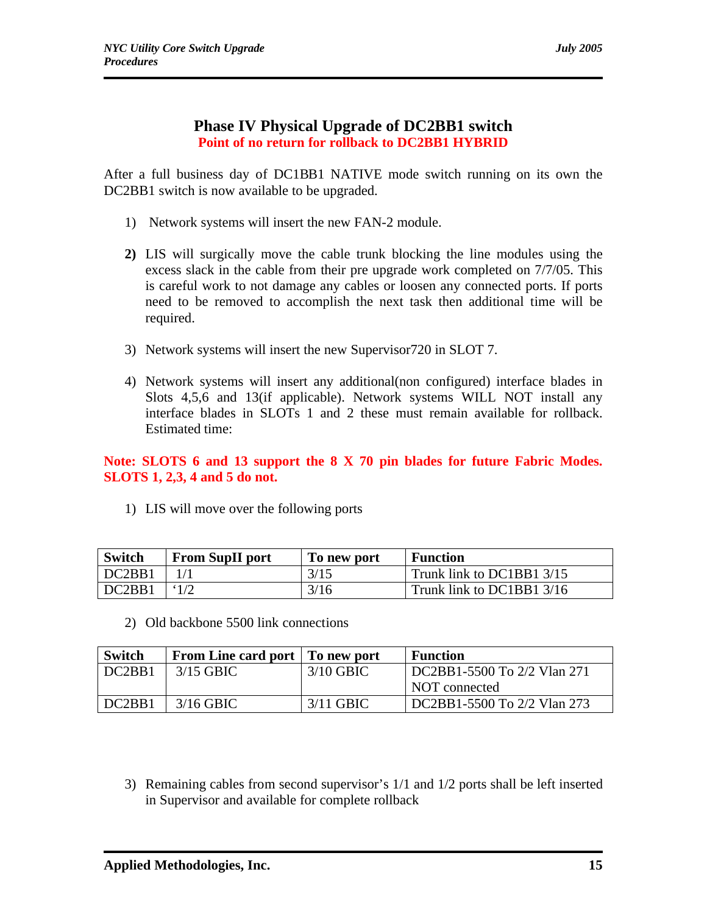## **Phase IV Physical Upgrade of DC2BB1 switch Point of no return for rollback to DC2BB1 HYBRID**

After a full business day of DC1BB1 NATIVE mode switch running on its own the DC2BB1 switch is now available to be upgraded.

- 1) Network systems will insert the new FAN-2 module.
- **2)** LIS will surgically move the cable trunk blocking the line modules using the excess slack in the cable from their pre upgrade work completed on 7/7/05. This is careful work to not damage any cables or loosen any connected ports. If ports need to be removed to accomplish the next task then additional time will be required.
- 3) Network systems will insert the new Supervisor720 in SLOT 7.
- 4) Network systems will insert any additional(non configured) interface blades in Slots 4,5,6 and 13(if applicable). Network systems WILL NOT install any interface blades in SLOTs 1 and 2 these must remain available for rollback. Estimated time:

**Note: SLOTS 6 and 13 support the 8 X 70 pin blades for future Fabric Modes. SLOTS 1, 2,3, 4 and 5 do not.** 

1) LIS will move over the following ports

| <b>Switch</b> | <b>From SupII port</b> | To new port | <b>Function</b>           |
|---------------|------------------------|-------------|---------------------------|
| DC2BB1        |                        | 3/15        | Trunk link to DC1BB1 3/15 |
| DC2BB1        |                        | 3/16        | Trunk link to DC1BB1 3/16 |

2) Old backbone 5500 link connections

| <b>Switch</b>                   | From Line card port   To new port |             | <b>Function</b>             |
|---------------------------------|-----------------------------------|-------------|-----------------------------|
| DC <sub>2</sub> B <sub>1</sub>  | 3/15 GBIC                         | $3/10$ GBIC | DC2BB1-5500 To 2/2 Vlan 271 |
|                                 |                                   |             | NOT connected               |
| DC <sub>2</sub> B <sub>B1</sub> | $3/16$ GBIC                       | 3/11 GBIC   | DC2BB1-5500 To 2/2 Vlan 273 |

3) Remaining cables from second supervisor's 1/1 and 1/2 ports shall be left inserted in Supervisor and available for complete rollback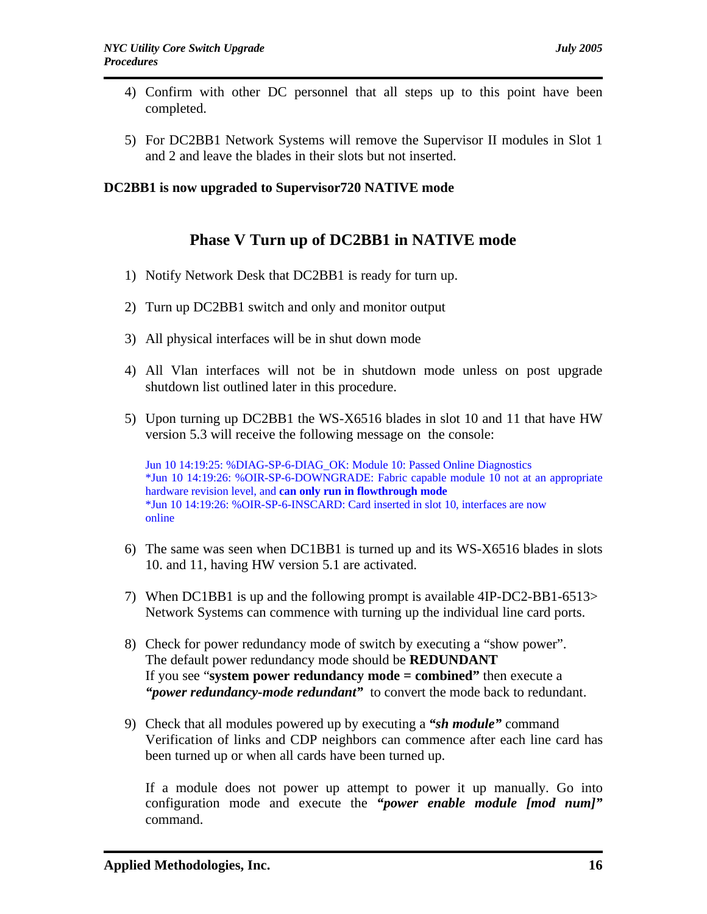- 4) Confirm with other DC personnel that all steps up to this point have been completed.
- 5) For DC2BB1 Network Systems will remove the Supervisor II modules in Slot 1 and 2 and leave the blades in their slots but not inserted.

### **DC2BB1 is now upgraded to Supervisor720 NATIVE mode**

# **Phase V Turn up of DC2BB1 in NATIVE mode**

- 1) Notify Network Desk that DC2BB1 is ready for turn up.
- 2) Turn up DC2BB1 switch and only and monitor output
- 3) All physical interfaces will be in shut down mode
- 4) All Vlan interfaces will not be in shutdown mode unless on post upgrade shutdown list outlined later in this procedure.
- 5) Upon turning up DC2BB1 the WS-X6516 blades in slot 10 and 11 that have HW version 5.3 will receive the following message on the console:

Jun 10 14:19:25: %DIAG-SP-6-DIAG\_OK: Module 10: Passed Online Diagnostics \*Jun 10 14:19:26: %OIR-SP-6-DOWNGRADE: Fabric capable module 10 not at an appropriate hardware revision level, and **can only run in flowthrough mode** \*Jun 10 14:19:26: %OIR-SP-6-INSCARD: Card inserted in slot 10, interfaces are now online

- 6) The same was seen when DC1BB1 is turned up and its WS-X6516 blades in slots 10. and 11, having HW version 5.1 are activated.
- 7) When DC1BB1 is up and the following prompt is available 4IP-DC2-BB1-6513> Network Systems can commence with turning up the individual line card ports.
- 8) Check for power redundancy mode of switch by executing a "show power". The default power redundancy mode should be **REDUNDANT**  If you see "**system power redundancy mode = combined"** then execute a *"power redundancy-mode redundant"* to convert the mode back to redundant.
- 9) Check that all modules powered up by executing a *"sh module"* command Verification of links and CDP neighbors can commence after each line card has been turned up or when all cards have been turned up.

If a module does not power up attempt to power it up manually. Go into configuration mode and execute the *"power enable module [mod num]"*  command.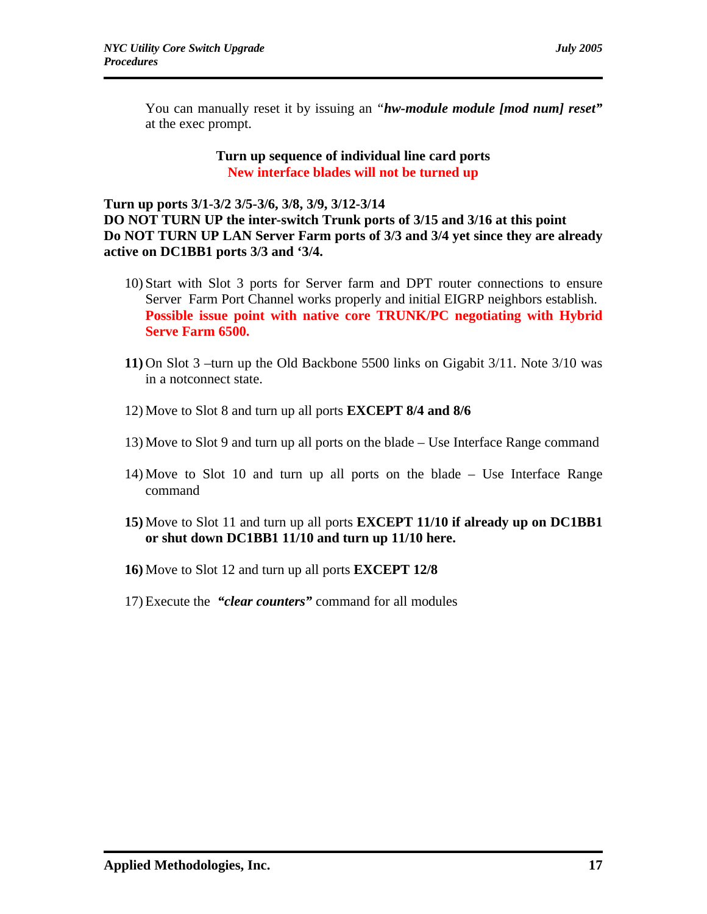You can manually reset it by issuing an *"hw-module module [mod num] reset"*  at the exec prompt.

> **Turn up sequence of individual line card ports New interface blades will not be turned up**

**Turn up ports 3/1-3/2 3/5-3/6, 3/8, 3/9, 3/12-3/14 DO NOT TURN UP the inter-switch Trunk ports of 3/15 and 3/16 at this point Do NOT TURN UP LAN Server Farm ports of 3/3 and 3/4 yet since they are already active on DC1BB1 ports 3/3 and '3/4.** 

- 10) Start with Slot 3 ports for Server farm and DPT router connections to ensure Server Farm Port Channel works properly and initial EIGRP neighbors establish. **Possible issue point with native core TRUNK/PC negotiating with Hybrid Serve Farm 6500.**
- **11)** On Slot 3 –turn up the Old Backbone 5500 links on Gigabit 3/11. Note 3/10 was in a notconnect state.
- 12) Move to Slot 8 and turn up all ports **EXCEPT 8/4 and 8/6**
- 13) Move to Slot 9 and turn up all ports on the blade Use Interface Range command
- 14) Move to Slot 10 and turn up all ports on the blade Use Interface Range command
- **15)** Move to Slot 11 and turn up all ports **EXCEPT 11/10 if already up on DC1BB1 or shut down DC1BB1 11/10 and turn up 11/10 here.**
- **16)** Move to Slot 12 and turn up all ports **EXCEPT 12/8**
- 17) Execute the *"clear counters"* command for all modules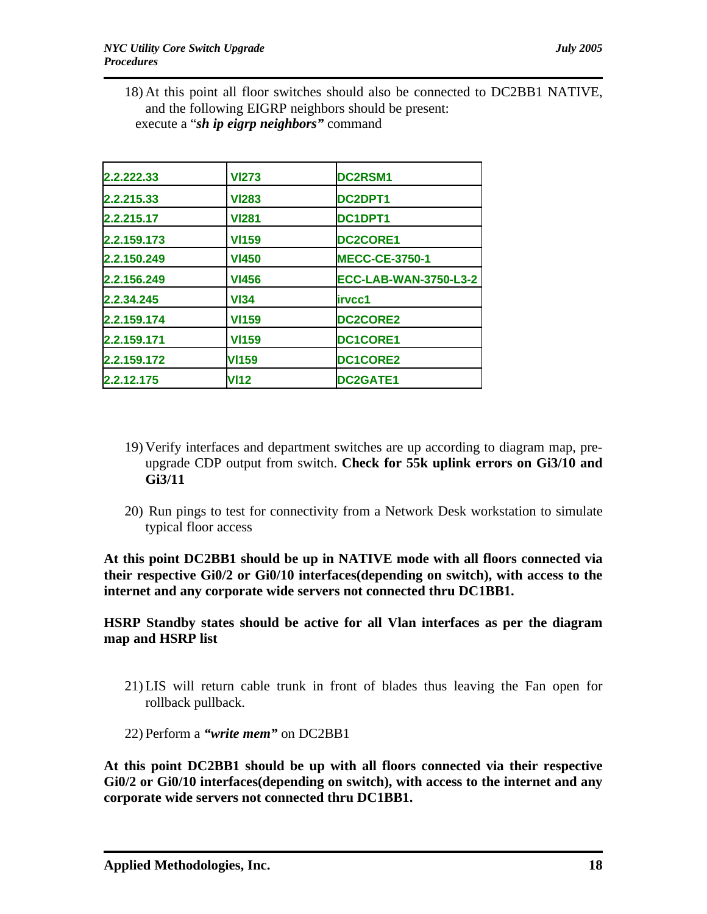18) At this point all floor switches should also be connected to DC2BB1 NATIVE, and the following EIGRP neighbors should be present: execute a "*sh ip eigrp neighbors"* command

| 2.2.222.33  | <b>VI273</b> | <b>DC2RSM1</b>               |  |
|-------------|--------------|------------------------------|--|
| 2.2.215.33  | <b>VI283</b> | DC2DPT1                      |  |
| 2.2.215.17  | <b>VI281</b> | DC1DPT1                      |  |
| 2.2.159.173 | <b>VI159</b> | <b>DC2CORE1</b>              |  |
| 2.2.150.249 | <b>VI450</b> | <b>MECC-CE-3750-1</b>        |  |
| 2.2.156.249 | <b>VI456</b> | <b>ECC-LAB-WAN-3750-L3-2</b> |  |
| 2.2.34.245  | <b>VI34</b>  | lirvcc1                      |  |
| 2.2.159.174 | <b>VI159</b> | <b>DC2CORE2</b>              |  |
| 2.2.159.171 | <b>VI159</b> | <b>DC1CORE1</b>              |  |
| 2.2.159.172 | <b>VI159</b> | <b>DC1CORE2</b>              |  |
| 2.2.12.175  | <b>VI12</b>  | <b>DC2GATE1</b>              |  |

- 19) Verify interfaces and department switches are up according to diagram map, preupgrade CDP output from switch. **Check for 55k uplink errors on Gi3/10 and Gi3/11**
- 20) Run pings to test for connectivity from a Network Desk workstation to simulate typical floor access

**At this point DC2BB1 should be up in NATIVE mode with all floors connected via their respective Gi0/2 or Gi0/10 interfaces(depending on switch), with access to the internet and any corporate wide servers not connected thru DC1BB1.**

**HSRP Standby states should be active for all Vlan interfaces as per the diagram map and HSRP list**

- 21) LIS will return cable trunk in front of blades thus leaving the Fan open for rollback pullback.
- 22) Perform a *"write mem"* on DC2BB1

**At this point DC2BB1 should be up with all floors connected via their respective Gi0/2 or Gi0/10 interfaces(depending on switch), with access to the internet and any corporate wide servers not connected thru DC1BB1.**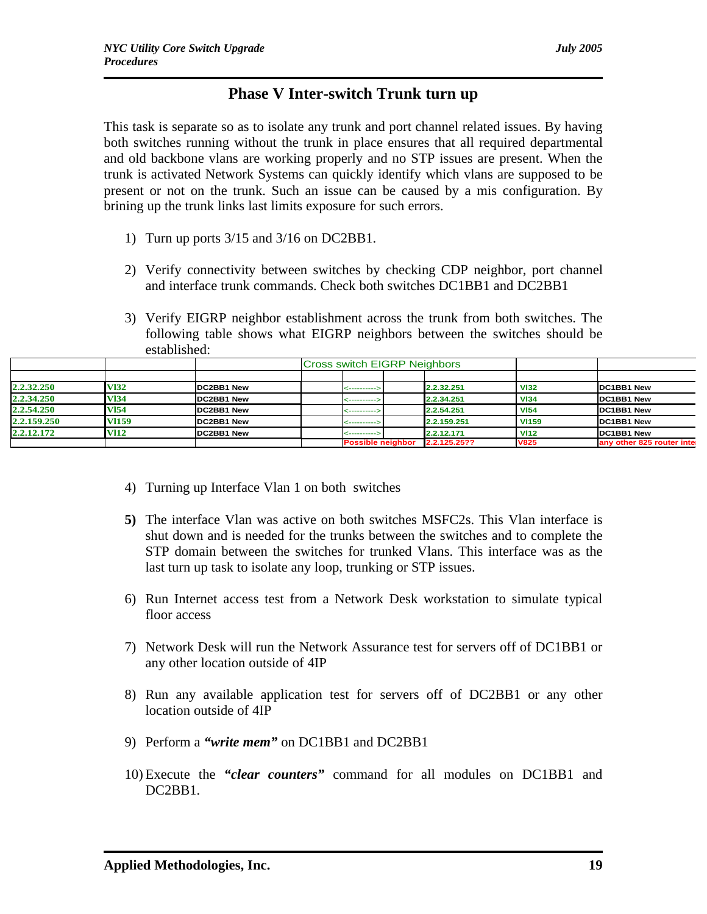# **Phase V Inter-switch Trunk turn up**

This task is separate so as to isolate any trunk and port channel related issues. By having both switches running without the trunk in place ensures that all required departmental and old backbone vlans are working properly and no STP issues are present. When the trunk is activated Network Systems can quickly identify which vlans are supposed to be present or not on the trunk. Such an issue can be caused by a mis configuration. By brining up the trunk links last limits exposure for such errors.

- 1) Turn up ports 3/15 and 3/16 on DC2BB1.
- 2) Verify connectivity between switches by checking CDP neighbor, port channel and interface trunk commands. Check both switches DC1BB1 and DC2BB1
- 3) Verify EIGRP neighbor establishment across the trunk from both switches. The following table shows what EIGRP neighbors between the switches should be established:

|             |             |            | <b>Cross switch EIGRP Neighbors</b> |              |              |                            |
|-------------|-------------|------------|-------------------------------------|--------------|--------------|----------------------------|
|             |             |            |                                     |              |              |                            |
| 2.2.32.250  | <b>V132</b> | DC2BB1 New | ------------                        | 2.2.32.251   | <b>VI32</b>  | DC1BB1 New                 |
| 2.2.34.250  | <b>V134</b> | DC2BB1 New | ------------                        | 2.2.34.251   | <b>VI34</b>  | DC1BB1 New                 |
| 2.2.54.250  | V154        | DC2BB1 New | ----------->                        | 2.2.54.251   | <b>VI54</b>  | DC1BB1 New                 |
| 2.2.159.250 | V1159       | DC2BB1 New | <---------->                        | 2.2.159.251  | <b>VI159</b> | DC1BB1 New                 |
| 2.2.12.172  | <b>VI12</b> | DC2BB1 New | ------------                        | 2.2.12.171   | <b>VI12</b>  | DC1BB1 New                 |
|             |             |            | <b>Possible neighbor</b>            | 2.2.125.25?? | <b>V825</b>  | any other 825 router inter |

- 4) Turning up Interface Vlan 1 on both switches
- **5)** The interface Vlan was active on both switches MSFC2s. This Vlan interface is shut down and is needed for the trunks between the switches and to complete the STP domain between the switches for trunked Vlans. This interface was as the last turn up task to isolate any loop, trunking or STP issues.
- 6) Run Internet access test from a Network Desk workstation to simulate typical floor access
- 7) Network Desk will run the Network Assurance test for servers off of DC1BB1 or any other location outside of 4IP
- 8) Run any available application test for servers off of DC2BB1 or any other location outside of 4IP
- 9) Perform a *"write mem"* on DC1BB1 and DC2BB1
- 10) Execute the *"clear counters"* command for all modules on DC1BB1 and DC2BB1.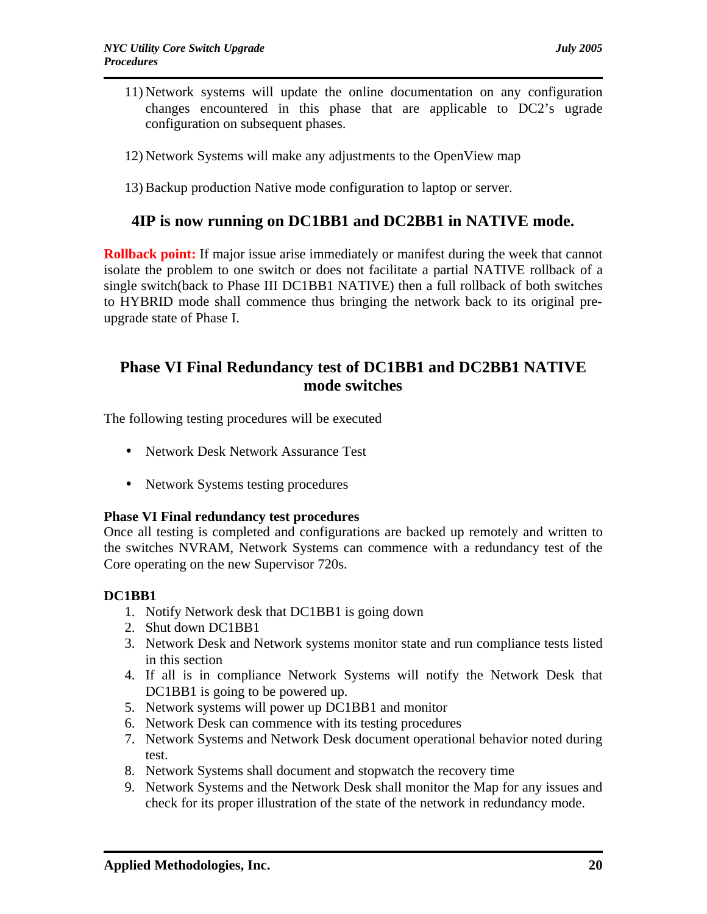- 11) Network systems will update the online documentation on any configuration changes encountered in this phase that are applicable to DC2's ugrade configuration on subsequent phases.
- 12) Network Systems will make any adjustments to the OpenView map
- 13) Backup production Native mode configuration to laptop or server.

## **4IP is now running on DC1BB1 and DC2BB1 in NATIVE mode.**

**Rollback point:** If major issue arise immediately or manifest during the week that cannot isolate the problem to one switch or does not facilitate a partial NATIVE rollback of a single switch(back to Phase III DC1BB1 NATIVE) then a full rollback of both switches to HYBRID mode shall commence thus bringing the network back to its original preupgrade state of Phase I.

## **Phase VI Final Redundancy test of DC1BB1 and DC2BB1 NATIVE mode switches**

The following testing procedures will be executed

- Network Desk Network Assurance Test
- Network Systems testing procedures

#### **Phase VI Final redundancy test procedures**

Once all testing is completed and configurations are backed up remotely and written to the switches NVRAM, Network Systems can commence with a redundancy test of the Core operating on the new Supervisor 720s.

### **DC1BB1**

- 1. Notify Network desk that DC1BB1 is going down
- 2. Shut down DC1BB1
- 3. Network Desk and Network systems monitor state and run compliance tests listed in this section
- 4. If all is in compliance Network Systems will notify the Network Desk that DC1BB1 is going to be powered up.
- 5. Network systems will power up DC1BB1 and monitor
- 6. Network Desk can commence with its testing procedures
- 7. Network Systems and Network Desk document operational behavior noted during test.
- 8. Network Systems shall document and stopwatch the recovery time
- 9. Network Systems and the Network Desk shall monitor the Map for any issues and check for its proper illustration of the state of the network in redundancy mode.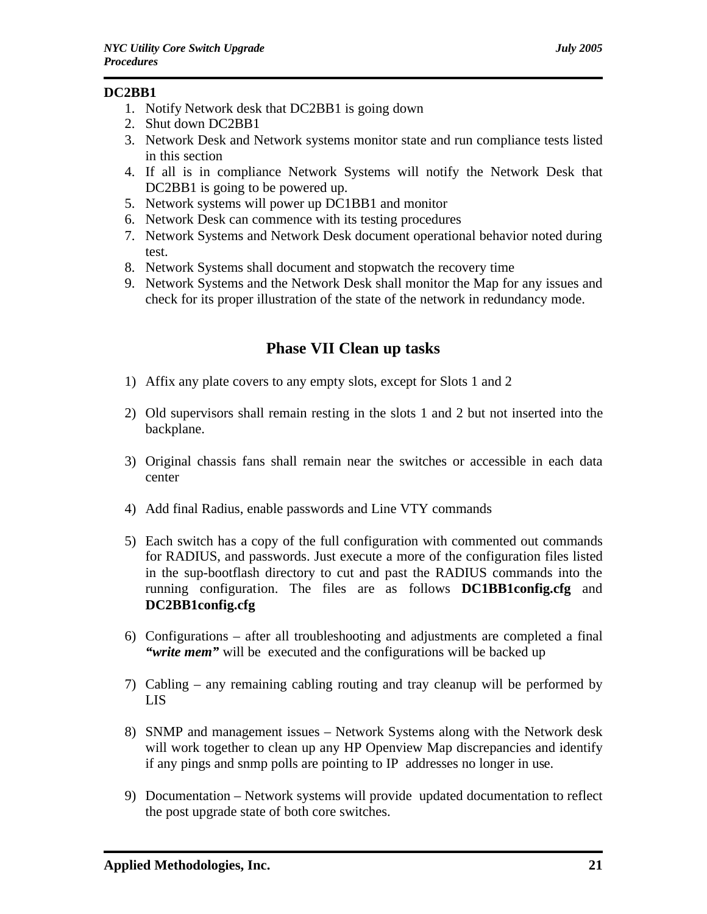### **DC2BB1**

- 1. Notify Network desk that DC2BB1 is going down
- 2. Shut down DC2BB1
- 3. Network Desk and Network systems monitor state and run compliance tests listed in this section
- 4. If all is in compliance Network Systems will notify the Network Desk that DC2BB1 is going to be powered up.
- 5. Network systems will power up DC1BB1 and monitor
- 6. Network Desk can commence with its testing procedures
- 7. Network Systems and Network Desk document operational behavior noted during test.
- 8. Network Systems shall document and stopwatch the recovery time
- 9. Network Systems and the Network Desk shall monitor the Map for any issues and check for its proper illustration of the state of the network in redundancy mode.

# **Phase VII Clean up tasks**

- 1) Affix any plate covers to any empty slots, except for Slots 1 and 2
- 2) Old supervisors shall remain resting in the slots 1 and 2 but not inserted into the backplane.
- 3) Original chassis fans shall remain near the switches or accessible in each data center
- 4) Add final Radius, enable passwords and Line VTY commands
- 5) Each switch has a copy of the full configuration with commented out commands for RADIUS, and passwords. Just execute a more of the configuration files listed in the sup-bootflash directory to cut and past the RADIUS commands into the running configuration. The files are as follows **DC1BB1config.cfg** and **DC2BB1config.cfg**
- 6) Configurations after all troubleshooting and adjustments are completed a final *"write mem"* will be executed and the configurations will be backed up
- 7) Cabling any remaining cabling routing and tray cleanup will be performed by LIS
- 8) SNMP and management issues Network Systems along with the Network desk will work together to clean up any HP Openview Map discrepancies and identify if any pings and snmp polls are pointing to IP addresses no longer in use.
- 9) Documentation Network systems will provide updated documentation to reflect the post upgrade state of both core switches.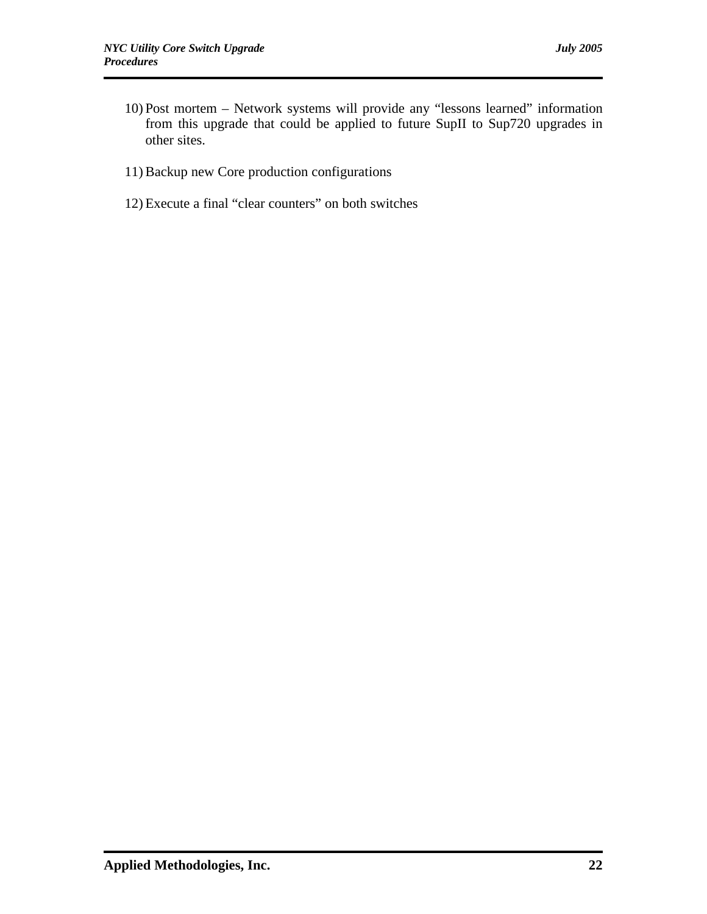- 10) Post mortem Network systems will provide any "lessons learned" information from this upgrade that could be applied to future SupII to Sup720 upgrades in other sites.
- 11) Backup new Core production configurations
- 12) Execute a final "clear counters" on both switches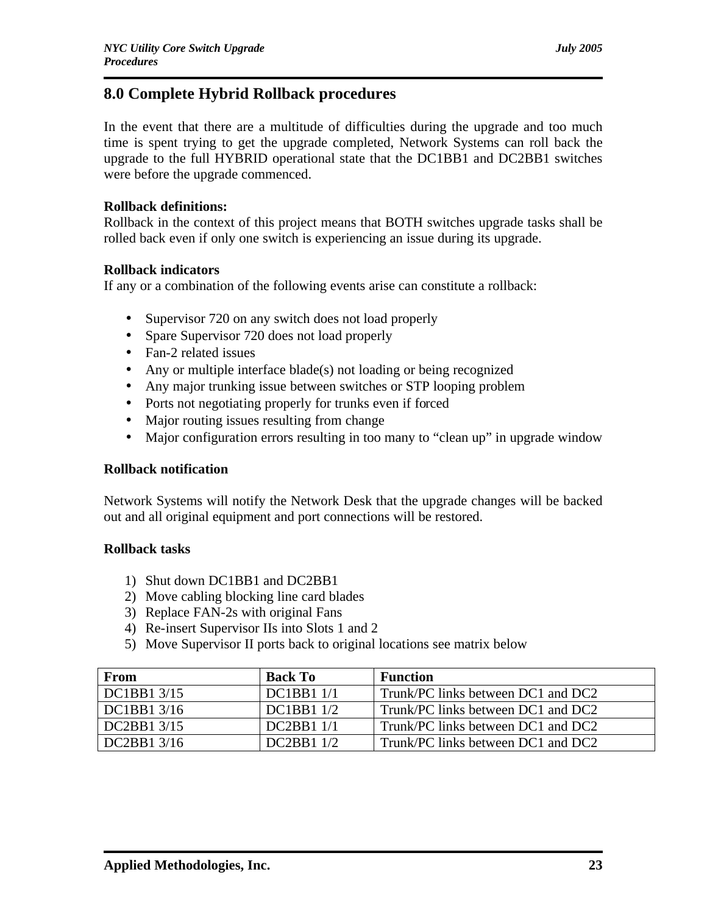# **8.0 Complete Hybrid Rollback procedures**

In the event that there are a multitude of difficulties during the upgrade and too much time is spent trying to get the upgrade completed, Network Systems can roll back the upgrade to the full HYBRID operational state that the DC1BB1 and DC2BB1 switches were before the upgrade commenced.

### **Rollback definitions:**

Rollback in the context of this project means that BOTH switches upgrade tasks shall be rolled back even if only one switch is experiencing an issue during its upgrade.

### **Rollback indicators**

If any or a combination of the following events arise can constitute a rollback:

- Supervisor 720 on any switch does not load properly
- Spare Supervisor 720 does not load properly
- Fan-2 related issues
- Any or multiple interface blade(s) not loading or being recognized
- Any major trunking issue between switches or STP looping problem
- Ports not negotiating properly for trunks even if forced
- Major routing issues resulting from change
- Major configuration errors resulting in too many to "clean up" in upgrade window

### **Rollback notification**

Network Systems will notify the Network Desk that the upgrade changes will be backed out and all original equipment and port connections will be restored.

### **Rollback tasks**

- 1) Shut down DC1BB1 and DC2BB1
- 2) Move cabling blocking line card blades
- 3) Replace FAN-2s with original Fans
- 4) Re-insert Supervisor IIs into Slots 1 and 2
- 5) Move Supervisor II ports back to original locations see matrix below

| From         | <b>Back To</b>    | <b>Function</b>                    |
|--------------|-------------------|------------------------------------|
| DC1BB1 3/15  | <b>DC1BB1 1/1</b> | Trunk/PC links between DC1 and DC2 |
| DC1BB1 3/16  | <b>DC1BB1 1/2</b> | Trunk/PC links between DC1 and DC2 |
| DC2BB1 3/15  | <b>DC2BB1 1/1</b> | Trunk/PC links between DC1 and DC2 |
| $DC2BB13/16$ | DC2BB11/2         | Trunk/PC links between DC1 and DC2 |